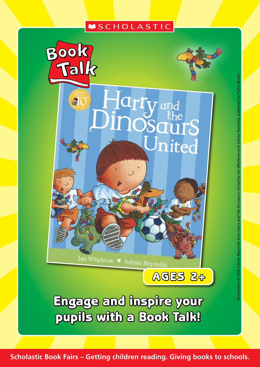# **MSCHOLASTIC**

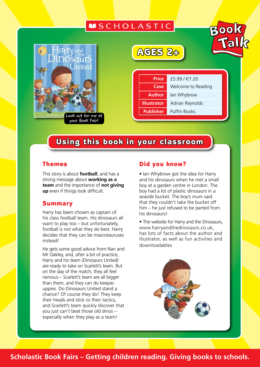# **MSCHOLASTIC**



AGES 2+



**Price** £5.99 / €7.20 **Case** Welcome to Reading **Author** Ian Whybrow **Illustrator** Adrian Reynolds **Publisher** Puffin Books

# Using this book in your classroom

#### Themes

This story is about **football**, and has a strong message about **working as a team** and the importance of **not giving up** even if things look difficult.

#### **Summary**

Harry has been chosen as captain of his class football team. His dinosaurs all want to play too – but unfortunately, football is not what they do best. Harry decides that they can be mascotauruses instead!

He gets some good advice from Nan and Mr Oakley, and, after a bit of practice, Harry and his team (Dinosaurs United) are ready to take on Scarlett's team. But on the day of the match, they all feel nervous – Scarlett's team are all bigger than them, and they can do keepieuppies. Do Dinosaurs United stand a chance? Of course they do! They keep their heads and stick to their tactics, and Scarlett's team quickly discover that you just can't beat those old dinos – especially when they play as a team!

#### Did you know?

• Ian Whybrow got the idea for Harry and his dinosaurs when he met a small boy at a garden centre in London. The boy had a lot of plastic dinosaurs in a seaside bucket. The boy's mum said that they couldn't take the bucket off him – he just refused to be parted from his dinosaurs!

• The website for Harry and the Dinosaurs, www.harryandthedinosaurs.co.uk, has lots of facts about the author and illustrator, as well as fun activities and downloadables



### **Scholastic Book Fairs – Getting children reading. Giving books to schools.**